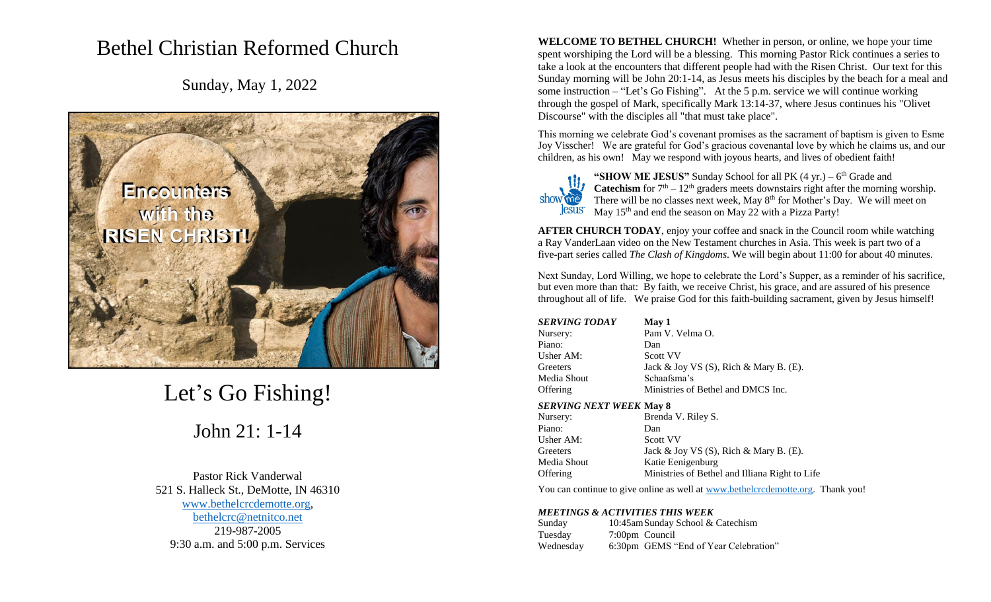# Bethel Christian Reformed Church

Sunday, May 1, 2022



Let's Go Fishing!

# John 21: 1-14

Pastor Rick Vanderwal 521 S. Halleck St., DeMotte, IN 46310 [www.bethelcrcdemotte.org,](http://www.bethelcrcdemotte.org/) [bethelcrc@netnitco.net](mailto:bethelcrc@netnitco.net) 219-987-2005 9:30 a.m. and 5:00 p.m. Services

**WELCOME TO BETHEL CHURCH!** Whether in person, or online, we hope your time spent worshiping the Lord will be a blessing. This morning Pastor Rick continues a series to take a look at the encounters that different people had with the Risen Christ. Our text for this Sunday morning will be John 20:1-14, as Jesus meets his disciples by the beach for a meal and some instruction – "Let's Go Fishing". At the 5 p.m. service we will continue working through the gospel of Mark, specifically Mark 13:14-37, where Jesus continues his "Olivet Discourse" with the disciples all "that must take place".

This morning we celebrate God's covenant promises as the sacrament of baptism is given to Esme Joy Visscher! We are grateful for God's gracious covenantal love by which he claims us, and our children, as his own! May we respond with joyous hearts, and lives of obedient faith!



"SHOW ME JESUS" Sunday School for all PK (4 yr.) – 6<sup>th</sup> Grade and **Catechism** for  $7<sup>th</sup> - 12<sup>th</sup>$  graders meets downstairs right after the morning worship. There will be no classes next week, May 8<sup>th</sup> for Mother's Day. We will meet on May 15<sup>th</sup> and end the season on May 22 with a Pizza Party!

**AFTER CHURCH TODAY**, enjoy your coffee and snack in the Council room while watching a Ray VanderLaan video on the New Testament churches in Asia. This week is part two of a five-part series called *The Clash of Kingdoms*. We will begin about 11:00 for about 40 minutes.

Next Sunday, Lord Willing, we hope to celebrate the Lord's Supper, as a reminder of his sacrifice, but even more than that: By faith, we receive Christ, his grace, and are assured of his presence throughout all of life. We praise God for this faith-building sacrament, given by Jesus himself!

## *SERVING TODAY* **May 1**

| Nursery:    | Pam V. Velma O.                              |
|-------------|----------------------------------------------|
| Piano:      | Dan                                          |
| Usher AM:   | <b>Scott VV</b>                              |
| Greeters    | Jack & Joy VS $(S)$ , Rich & Mary B. $(E)$ . |
| Media Shout | Schaafsma's                                  |
| Offering    | Ministries of Bethel and DMCS Inc.           |
|             |                                              |

# *SERVING NEXT WEEK* **May 8**

| Brenda V. Riley S.                             |
|------------------------------------------------|
| Dan                                            |
| Scott VV                                       |
| Jack & Joy VS $(S)$ , Rich & Mary B. $(E)$ .   |
| Katie Eenigenburg                              |
| Ministries of Bethel and Illiana Right to Life |
|                                                |

You can continue to give online as well at [www.bethelcrcdemotte.org.](http://www.bethelcrcdemotte.org/) Thank you!

## *MEETINGS & ACTIVITIES THIS WEEK*

Sunday 10:45amSunday School & Catechism Tuesday 7:00pm Council Wednesday 6:30pm GEMS "End of Year Celebration"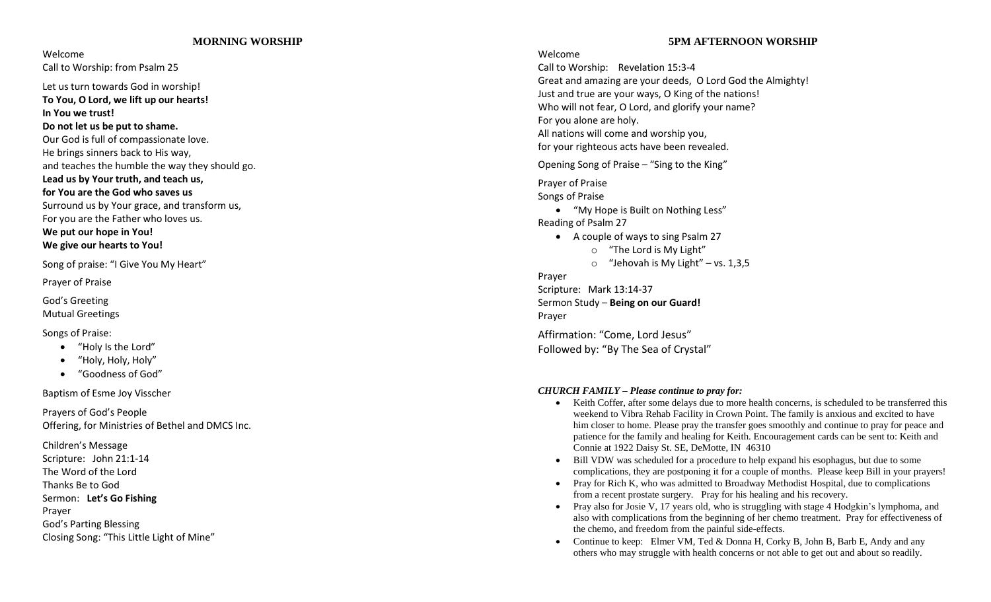### **MORNING WORSHIP**

Welcome Call to Worship: from Psalm 25

Let us turn towards God in worship! **To You, O Lord, we lift up our hearts! In You we trust! Do not let us be put to shame.** Our God is full of compassionate love. He brings sinners back to His way, and teaches the humble the way they should go. **Lead us by Your truth, and teach us, for You are the God who saves us** Surround us by Your grace, and transform us, For you are the Father who loves us. **We put our hope in You! We give our hearts to You!**

Song of praise: "I Give You My Heart"

Prayer of Praise

God's Greeting Mutual Greetings

Songs of Praise:

- "Holy Is the Lord "
- "Holy, Holy, Holy"
- "Goodness of God "

Baptism of Esme Joy Visscher

Prayers of God's People Offering, for Ministries of Bethel and DMCS Inc.

Children's Message Scripture: John 21:1 -14 The Word of the Lord Thanks Be to God Sermon: **Let's Go Fishing** Prayer God's Parting Blessing Closing Song: "This Little Light of Mine"

# **5PM AFTERNOON WORSHIP**

#### Welcome

Call to Worship: Revelation 15:3 - 4 Great and amazing are your deeds, O Lord God the Almighty! Just and true are your ways, O King of the nations! Who will not fear, O Lord, and glorify your name? For you alone are holy. All nations will come and worship you, for your righteous acts have been revealed. Opening Song of Praise – "Sing to the King"

Prayer of Praise

Songs of Praise

- "My Hope is Built on Nothing Less" Reading of Psalm 27
	- A couple of ways to sing Psalm 27
		- o "The Lord is My Light"
		- $\circ$  "Jehovah is My Light" vs. 1,3,5

Prayer Scripture: Mark 13:14 -37

Sermon Study – **Being on our Guard!** Prayer

Affirmation: "Come, Lord Jesus" Followed by: "By The Sea of Crystal "

## *CHURCH FAMILY – Please continue to pray for:*

- Keith Coffer, after some delays due to more health concerns, is scheduled to be transferred this weekend to Vibra Rehab Facility in Crown Point. The family is anxious and excited to have him closer to home. Please pray the transfer goes smoothly and continue to pray for peace and patience for the family and healing for Keith. Encouragement cards can be sent to: Keith and Connie at 1922 Daisy St. SE, DeMotte, IN 46310
- Bill VDW was scheduled for a procedure to help expand his esophagus, but due to some complications, they are postponing it for a couple of months. Please keep Bill in your prayers!
- Pray for Rich K, who was admitted to Broadway Methodist Hospital, due to complications from a recent prostate surgery. Pray for his healing and his recovery.
- Pray also for Josie V, 17 years old, who is struggling with stage 4 Hodgkin's lymphoma, and also with complications from the beginning of her chemo treatment. Pray for effectiveness of the chemo, and freedom from the painful side -effects.
- Continue to keep: Elmer VM, Ted & Donna H, Corky B, John B, Barb E, Andy and any others who may struggle with health concerns or not able to get out and about so readily.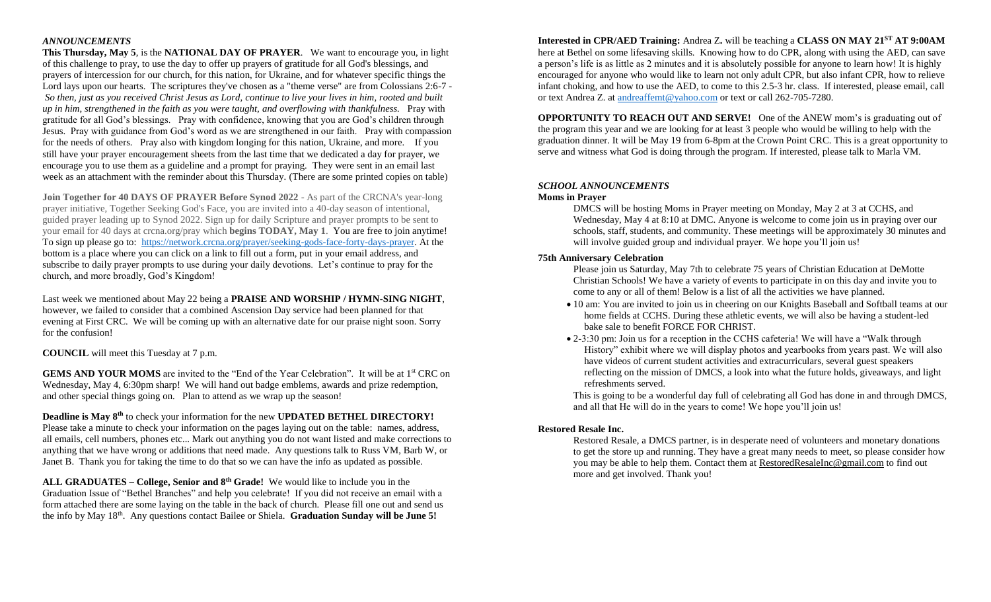## *ANNOUNCEMENTS*

**This Thursday, May 5**, is the **NATIONAL DAY OF PRAYER**. We want to encourage you, in light of this challenge to pray, to use the day to offer up prayers of gratitude for all God's blessings, and prayers of intercession for our church, for this nation, for Ukraine, and for whatever specific things the Lord lays upon our hearts. The scriptures they've chosen as a "theme verse" are from Colossians 2:6-7 - *So then, just as you received Christ Jesus as Lord, continue to live your lives in him, rooted and built up in him, strengthened in the faith as you were taught, and overflowing with thankfulness.* Pray with gratitude for all God's blessings. Pray with confidence, knowing that you are God's children through Jesus. Pray with guidance from God's word as we are strengthened in our faith. Pray with compassion for the needs of others. Pray also with kingdom longing for this nation, Ukraine, and more. If you still have your prayer encouragement sheets from the last time that we dedicated a day for prayer, we encourage you to use them as a guideline and a prompt for praying. They were sent in an email last week as an attachment with the reminder about this Thursday. (There are some printed copies on table)

**Join Together for 40 DAYS OF PRAYER Before Synod 2022** - As part of the CRCNA's year-long prayer initiative, Together Seeking God's Face, you are invited into a 40-day season of intentional, guided prayer leading up to Synod 2022. Sign up for daily Scripture and prayer prompts to be sent to your email for 40 days at crcna.org/pray which **begins TODAY, May 1**. You are free to join anytime! To sign up please go to: [https://network.crcna.org/prayer/seeking-gods-face-forty-days-prayer.](https://network.crcna.org/prayer/seeking-gods-face-forty-days-prayer) At the bottom is a place where you can click on a link to fill out a form, put in your email address, and subscribe to daily prayer prompts to use during your daily devotions. Let's continue to pray for the church, and more broadly, God's Kingdom!

Last week we mentioned about May 22 being a **PRAISE AND WORSHIP / HYMN-SING NIGHT**, however, we failed to consider that a combined Ascension Day service had been planned for that evening at First CRC. We will be coming up with an alternative date for our praise night soon. Sorry for the confusion!

## **COUNCIL** will meet this Tuesday at 7 p.m.

**GEMS AND YOUR MOMS** are invited to the "End of the Year Celebration". It will be at 1<sup>st</sup> CRC on Wednesday, May 4, 6:30pm sharp! We will hand out badge emblems, awards and prize redemption, and other special things going on. Plan to attend as we wrap up the season!

**Deadline is May 8th** to check your information for the new **UPDATED BETHEL DIRECTORY!** Please take a minute to check your information on the pages laying out on the table: names, address, all emails, cell numbers, phones etc... Mark out anything you do not want listed and make corrections to anything that we have wrong or additions that need made. Any questions talk to Russ VM, Barb W, or Janet B. Thank you for taking the time to do that so we can have the info as updated as possible.

**ALL GRADUATES – College, Senior and 8th Grade!** We would like to include you in the Graduation Issue of "Bethel Branches" and help you celebrate! If you did not receive an email with a form attached there are some laying on the table in the back of church. Please fill one out and send us the info by May 18th. Any questions contact Bailee or Shiela. **Graduation Sunday will be June 5!**

**Interested in CPR/AED Training:** Andrea Z**.** will be teaching a **CLASS ON MAY 21ST AT 9:00AM** here at Bethel on some lifesaving skills. Knowing how to do CPR, along with using the AED, can save a person's life is as little as 2 minutes and it is absolutely possible for anyone to learn how! It is highly encouraged for anyone who would like to learn not only adult CPR, but also infant CPR, how to relieve infant choking, and how to use the AED, to come to this 2.5-3 hr. class. If interested, please email, call or text Andrea Z. at [andreaffemt@yahoo.com](mailto:andreaffemt@yahoo.com) or text or call 262-705-7280.

**OPPORTUNITY TO REACH OUT AND SERVE!** One of the ANEW mom's is graduating out of the program this year and we are looking for at least 3 people who would be willing to help with the graduation dinner. It will be May 19 from 6-8pm at the Crown Point CRC. This is a great opportunity to serve and witness what God is doing through the program. If interested, please talk to Marla VM.

### *SCHOOL ANNOUNCEMENTS*

#### **Moms in Prayer**

DMCS will be hosting Moms in Prayer meeting on Monday, May 2 at 3 at CCHS, and Wednesday, May 4 at 8:10 at DMC. Anyone is welcome to come join us in praying over our schools, staff, students, and community. These meetings will be approximately 30 minutes and will involve guided group and individual prayer. We hope you'll join us!

#### **75th Anniversary Celebration**

Please join us Saturday, May 7th to celebrate 75 years of Christian Education at DeMotte Christian Schools! We have a variety of events to participate in on this day and invite you to come to any or all of them! Below is a list of all the activities we have planned.

- 10 am: You are invited to join us in cheering on our Knights Baseball and Softball teams at our home fields at CCHS. During these athletic events, we will also be having a student-led bake sale to benefit FORCE FOR CHRIST.
- 2-3:30 pm: Join us for a reception in the CCHS cafeteria! We will have a "Walk through History" exhibit where we will display photos and yearbooks from years past. We will also have videos of current student activities and extracurriculars, several guest speakers reflecting on the mission of DMCS, a look into what the future holds, giveaways, and light refreshments served.

This is going to be a wonderful day full of celebrating all God has done in and through DMCS, and all that He will do in the years to come! We hope you'll join us!

#### **Restored Resale Inc.**

Restored Resale, a DMCS partner, is in desperate need of volunteers and monetary donations to get the store up and running. They have a great many needs to meet, so please consider how you may be able to help them. Contact them at [RestoredResaleInc@gmail.com](mailto:RestoredResaleInc@gmail.com) to find out more and get involved. Thank you!